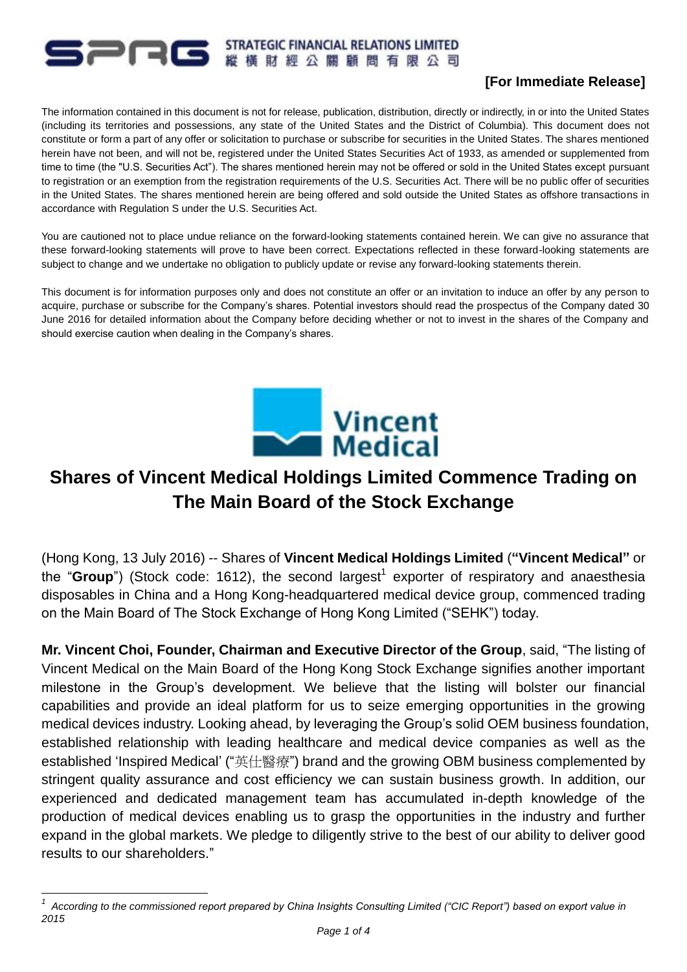#### **STRATEGIC FINANCIAL RELATIONS LIMITED PRG** 縱橫財經公關顧問有限公司

# **[For Immediate Release]**

The information contained in this document is not for release, publication, distribution, directly or indirectly, in or into the United States (including its territories and possessions, any state of the United States and the District of Columbia). This document does not constitute or form a part of any offer or solicitation to purchase or subscribe for securities in the United States. The shares mentioned herein have not been, and will not be, registered under the United States Securities Act of 1933, as amended or supplemented from time to time (the "U.S. Securities Act"). The shares mentioned herein may not be offered or sold in the United States except pursuant to registration or an exemption from the registration requirements of the U.S. Securities Act. There will be no public offer of securities in the United States. The shares mentioned herein are being offered and sold outside the United States as offshore transactions in accordance with Regulation S under the U.S. Securities Act.

You are cautioned not to place undue reliance on the forward-looking statements contained herein. We can give no assurance that these forward-looking statements will prove to have been correct. Expectations reflected in these forward-looking statements are subject to change and we undertake no obligation to publicly update or revise any forward-looking statements therein.

This document is for information purposes only and does not constitute an offer or an invitation to induce an offer by any person to acquire, purchase or subscribe for the Company's shares. Potential investors should read the prospectus of the Company dated 30 June 2016 for detailed information about the Company before deciding whether or not to invest in the shares of the Company and should exercise caution when dealing in the Company's shares.



# **Shares of Vincent Medical Holdings Limited Commence Trading on The Main Board of the Stock Exchange**

(Hong Kong, 13 July 2016) -- Shares of **Vincent Medical Holdings Limited** (**"Vincent Medical"** or the "Group") (Stock code: 1612), the second largest<sup>1</sup> exporter of respiratory and anaesthesia disposables in China and a Hong Kong-headquartered medical device group, commenced trading on the Main Board of The Stock Exchange of Hong Kong Limited ("SEHK") today.

**Mr. Vincent Choi, Founder, Chairman and Executive Director of the Group**, said, "The listing of Vincent Medical on the Main Board of the Hong Kong Stock Exchange signifies another important milestone in the Group's development. We believe that the listing will bolster our financial capabilities and provide an ideal platform for us to seize emerging opportunities in the growing medical devices industry. Looking ahead, by leveraging the Group's solid OEM business foundation, established relationship with leading healthcare and medical device companies as well as the established 'Inspired Medical' ("英仕醫療") brand and the growing OBM business complemented by stringent quality assurance and cost efficiency we can sustain business growth. In addition, our experienced and dedicated management team has accumulated in-depth knowledge of the production of medical devices enabling us to grasp the opportunities in the industry and further expand in the global markets. We pledge to diligently strive to the best of our ability to deliver good results to our shareholders."

1

*<sup>1</sup> According to the commissioned report prepared by China Insights Consulting Limited ("CIC Report") based on export value in 2015*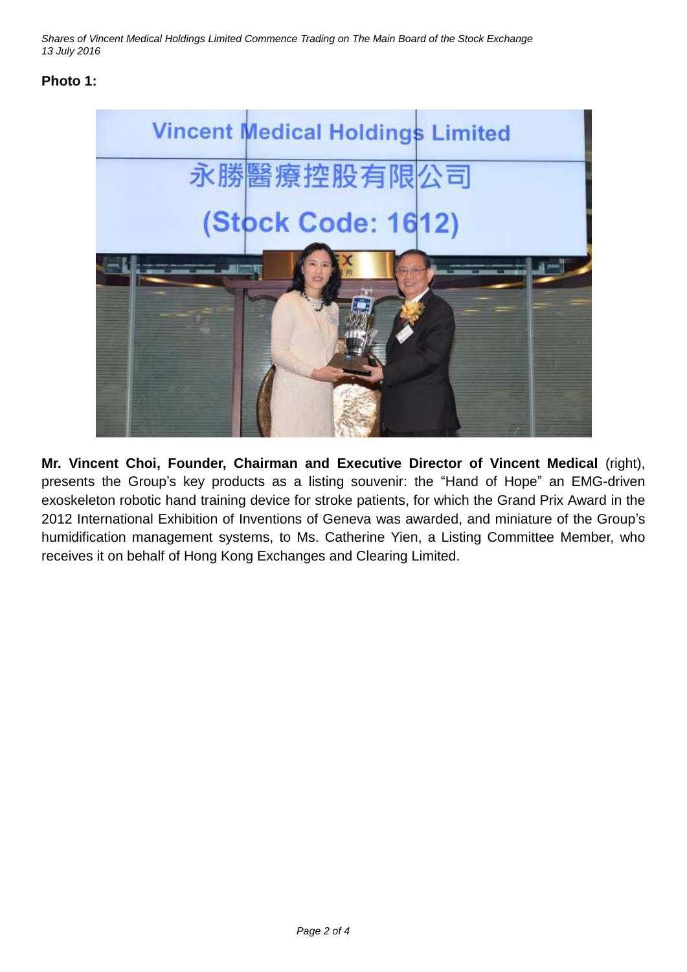*Shares of Vincent Medical Holdings Limited Commence Trading on The Main Board of the Stock Exchange 13 July 2016*

# **Photo 1:**



**Mr. Vincent Choi, Founder, Chairman and Executive Director of Vincent Medical** (right), presents the Group's key products as a listing souvenir: the "Hand of Hope" an EMG-driven exoskeleton robotic hand training device for stroke patients, for which the Grand Prix Award in the 2012 International Exhibition of Inventions of Geneva was awarded, and miniature of the Group's humidification management systems, to Ms. Catherine Yien, a Listing Committee Member, who receives it on behalf of Hong Kong Exchanges and Clearing Limited.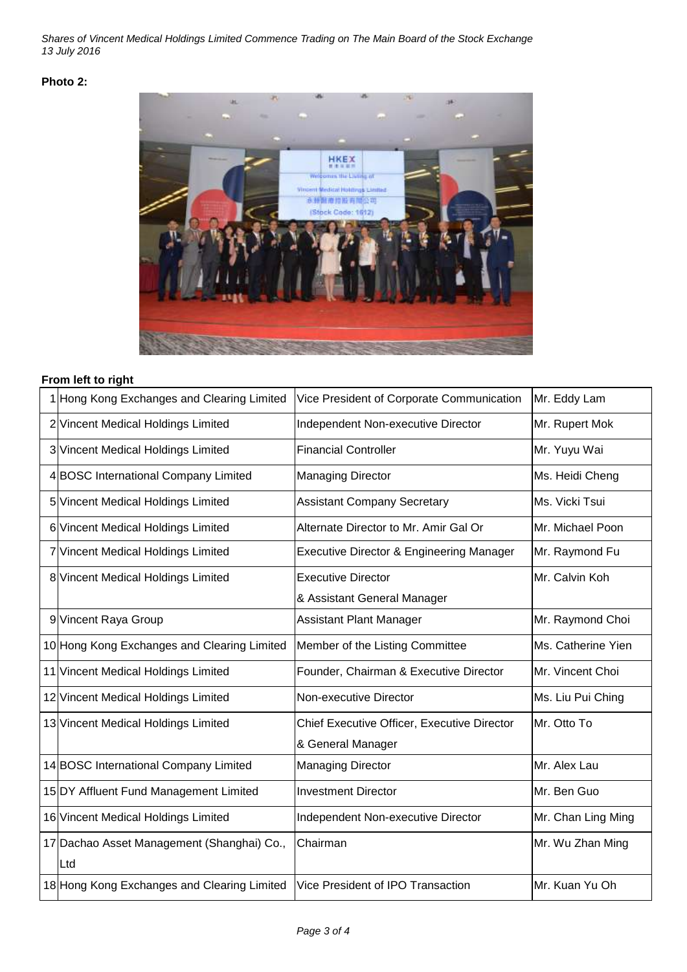*Shares of Vincent Medical Holdings Limited Commence Trading on The Main Board of the Stock Exchange 13 July 2016*

#### **Photo 2:**



## **From left to right**

| 1 Hong Kong Exchanges and Clearing Limited  | Vice President of Corporate Communication           | Mr. Eddy Lam       |
|---------------------------------------------|-----------------------------------------------------|--------------------|
| 2 Vincent Medical Holdings Limited          | Independent Non-executive Director                  | Mr. Rupert Mok     |
| 3 Vincent Medical Holdings Limited          | <b>Financial Controller</b>                         | Mr. Yuyu Wai       |
| 4 BOSC International Company Limited        | <b>Managing Director</b>                            | Ms. Heidi Cheng    |
| 5 Vincent Medical Holdings Limited          | <b>Assistant Company Secretary</b>                  | Ms. Vicki Tsui     |
| 6 Vincent Medical Holdings Limited          | Alternate Director to Mr. Amir Gal Or               | Mr. Michael Poon   |
| 7 Vincent Medical Holdings Limited          | <b>Executive Director &amp; Engineering Manager</b> | Mr. Raymond Fu     |
| 8 Vincent Medical Holdings Limited          | <b>Executive Director</b>                           | Mr. Calvin Koh     |
|                                             | & Assistant General Manager                         |                    |
| 9 Vincent Raya Group                        | <b>Assistant Plant Manager</b>                      | Mr. Raymond Choi   |
| 10 Hong Kong Exchanges and Clearing Limited | Member of the Listing Committee                     | Ms. Catherine Yien |
| 11 Vincent Medical Holdings Limited         | Founder, Chairman & Executive Director              | Mr. Vincent Choi   |
| 12 Vincent Medical Holdings Limited         | Non-executive Director                              | Ms. Liu Pui Ching  |
| 13 Vincent Medical Holdings Limited         | Chief Executive Officer, Executive Director         | Mr. Otto To        |
|                                             | & General Manager                                   |                    |
| 14 BOSC International Company Limited       | <b>Managing Director</b>                            | Mr. Alex Lau       |
| 15 DY Affluent Fund Management Limited      | <b>Investment Director</b>                          | Mr. Ben Guo        |
| 16 Vincent Medical Holdings Limited         | Independent Non-executive Director                  | Mr. Chan Ling Ming |
| 17 Dachao Asset Management (Shanghai) Co.,  | Chairman                                            | Mr. Wu Zhan Ming   |
| Ltd                                         |                                                     |                    |
| 18 Hong Kong Exchanges and Clearing Limited | Vice President of IPO Transaction                   | Mr. Kuan Yu Oh     |